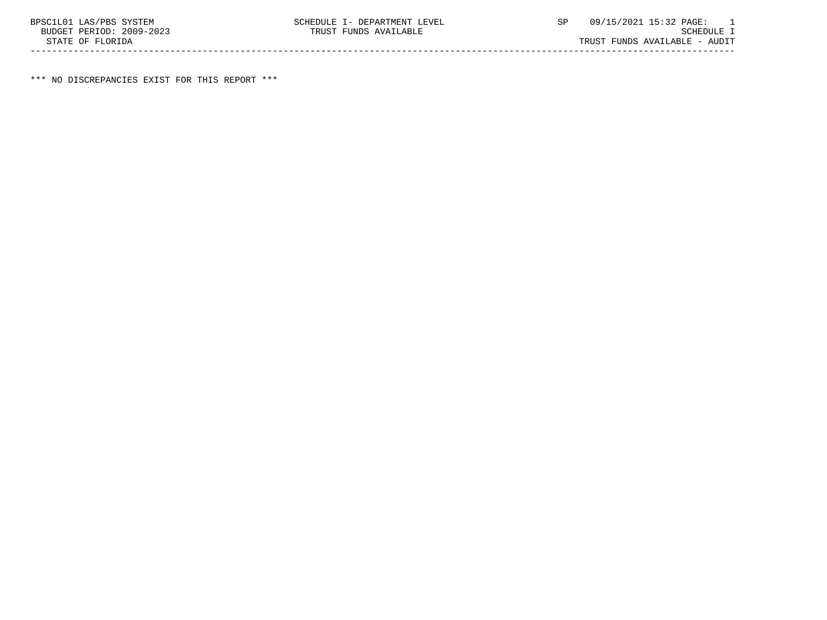\*\*\* NO DISCREPANCIES EXIST FOR THIS REPORT \*\*\*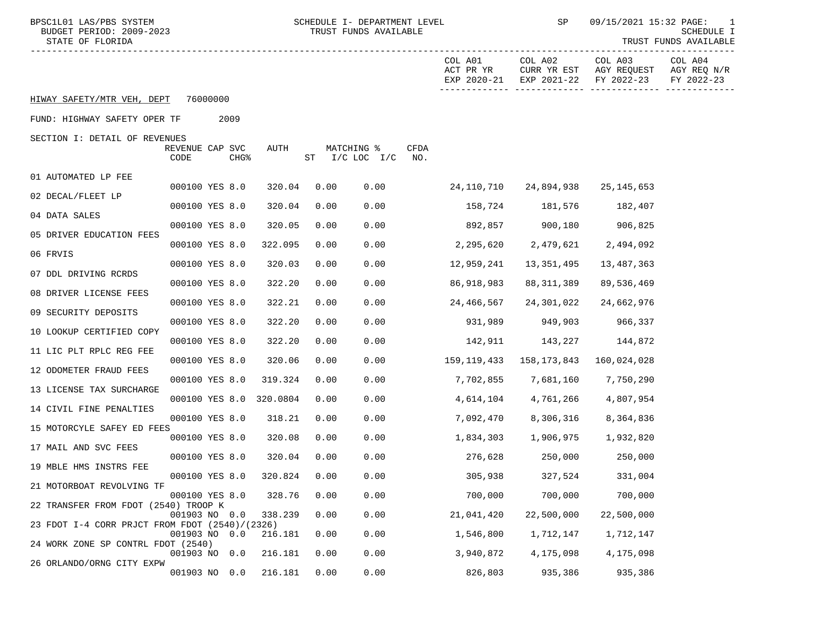| BPSC1L01 LAS/PBS SYSTEM<br>BUDGET PERIOD: 2009-2023<br>STATE OF FLORIDA |                         |                          |      | SCHEDULE I- DEPARTMENT LEVEL<br>TRUST FUNDS AVAILABLE |                                     | SP                                    | 09/15/2021 15:32 PAGE:               | 1<br>SCHEDULE I<br>TRUST FUNDS AVAILABLE |
|-------------------------------------------------------------------------|-------------------------|--------------------------|------|-------------------------------------------------------|-------------------------------------|---------------------------------------|--------------------------------------|------------------------------------------|
|                                                                         |                         |                          |      |                                                       | COL A01<br>ACT PR YR<br>EXP 2020-21 | COL A02<br>CURR YR EST<br>EXP 2021-22 | COL A03<br>AGY REQUEST<br>FY 2022-23 | COL A04<br>AGY REQ N/R<br>FY 2022-23     |
| HIWAY SAFETY/MTR VEH, DEPT                                              | 76000000                |                          |      |                                                       |                                     |                                       |                                      |                                          |
| FUND: HIGHWAY SAFETY OPER TF                                            | 2009                    |                          |      |                                                       |                                     |                                       |                                      |                                          |
| SECTION I: DETAIL OF REVENUES                                           | REVENUE CAP SVC<br>CODE | AUTH<br>CHG <sup>8</sup> |      | MATCHING %<br>$ST$ $I/C$ LOC $I/C$                    | CFDA<br>NO.                         |                                       |                                      |                                          |
| 01 AUTOMATED LP FEE                                                     |                         |                          |      |                                                       |                                     |                                       |                                      |                                          |
| 02 DECAL/FLEET LP                                                       | 000100 YES 8.0          | 320.04                   | 0.00 | 0.00                                                  | 24,110,710                          | 24,894,938                            | 25,145,653                           |                                          |
|                                                                         | 000100 YES 8.0          | 320.04                   | 0.00 | 0.00                                                  |                                     | 158,724 181,576                       | 182,407                              |                                          |
| 04 DATA SALES                                                           | 000100 YES 8.0          | 320.05                   | 0.00 | 0.00                                                  |                                     | 892,857 900,180                       | 906,825                              |                                          |
| 05 DRIVER EDUCATION FEES                                                | 000100 YES 8.0          | 322.095                  | 0.00 | 0.00                                                  | 2,295,620                           | 2,479,621                             | 2,494,092                            |                                          |
| 06 FRVIS                                                                | 000100 YES 8.0          | 320.03                   | 0.00 | 0.00                                                  | 12,959,241                          | 13,351,495                            | 13,487,363                           |                                          |
| 07 DDL DRIVING RCRDS                                                    | 000100 YES 8.0          | 322.20                   | 0.00 | 0.00                                                  | 86,918,983                          | 88,311,389                            | 89,536,469                           |                                          |
| 08 DRIVER LICENSE FEES                                                  | 000100 YES 8.0          | 322.21                   | 0.00 | 0.00                                                  | 24,466,567                          | 24,301,022                            | 24,662,976                           |                                          |
| 09 SECURITY DEPOSITS                                                    | 000100 YES 8.0          | 322.20                   | 0.00 | 0.00                                                  | 931,989                             | 949,903                               | 966,337                              |                                          |
| 10 LOOKUP CERTIFIED COPY                                                | 000100 YES 8.0          | 322.20                   | 0.00 | 0.00                                                  |                                     | 142,911 143,227                       | 144,872                              |                                          |
| 11 LIC PLT RPLC REG FEE                                                 | 000100 YES 8.0          | 320.06                   | 0.00 | 0.00                                                  | 159,119,433                         | 158,173,843                           | 160,024,028                          |                                          |
| 12 ODOMETER FRAUD FEES                                                  |                         |                          |      |                                                       |                                     |                                       |                                      |                                          |
| 13 LICENSE TAX SURCHARGE                                                | 000100 YES 8.0          | 319.324                  | 0.00 | 0.00                                                  | 7,702,855                           | 7,681,160                             | 7,750,290                            |                                          |
| 14 CIVIL FINE PENALTIES                                                 | 000100 YES 8.0          | 320.0804                 | 0.00 | 0.00                                                  | 4,614,104                           | 4,761,266                             | 4,807,954                            |                                          |
| 15 MOTORCYLE SAFEY ED FEES                                              | 000100 YES 8.0          | 318.21                   | 0.00 | 0.00                                                  | 7,092,470                           | 8,306,316                             | 8,364,836                            |                                          |
| 17 MAIL AND SVC FEES                                                    | 000100 YES 8.0          | 320.08                   | 0.00 | 0.00                                                  | 1,834,303                           | 1,906,975                             | 1,932,820                            |                                          |
| 19 MBLE HMS INSTRS FEE                                                  | 000100 YES 8.0          | 320.04                   | 0.00 | 0.00                                                  | 276,628                             | 250,000                               | 250,000                              |                                          |
| 21 MOTORBOAT REVOLVING TF                                               | 000100 YES 8.0          | 320.824                  | 0.00 | 0.00                                                  | 305,938                             | 327,524                               | 331,004                              |                                          |
| 22 TRANSFER FROM FDOT (2540) TROOP K                                    | 000100 YES 8.0          | 328.76                   | 0.00 | 0.00                                                  | 700,000                             | 700,000                               | 700,000                              |                                          |
|                                                                         | 001903 NO 0.0           | 338.239                  | 0.00 | 0.00                                                  | 21,041,420                          | 22,500,000                            | 22,500,000                           |                                          |
| 23 FDOT I-4 CORR PRJCT FROM FDOT (2540)/(2326)                          | 001903 NO 0.0           | 216.181                  | 0.00 | 0.00                                                  | 1,546,800                           | 1,712,147                             | 1,712,147                            |                                          |
| 24 WORK ZONE SP CONTRL FDOT (2540)                                      | 001903 NO               | 216.181<br>0.0           | 0.00 | 0.00                                                  | 3,940,872                           | 4,175,098                             | 4,175,098                            |                                          |
| 26 ORLANDO/ORNG CITY EXPW                                               | 001903 NO 0.0           | 216.181                  | 0.00 | 0.00                                                  | 826,803                             | 935,386                               | 935,386                              |                                          |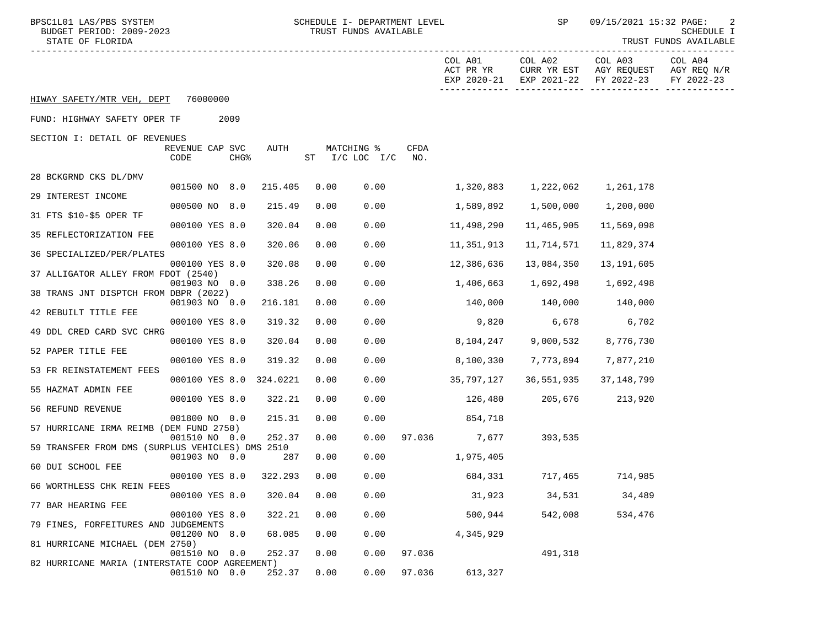| BPSC1L01 LAS/PBS SYSTEM<br>BUDGET PERIOD: 2009-2023<br>STATE OF FLORIDA |                         |                  |          | SCHEDULE I- DEPARTMENT LEVEL<br>TRUST FUNDS AVAILABLE |                                    |             | SP                                  | 09/15/2021 15:32 PAGE:<br>SCHEDULE I<br>TRUST FUNDS AVAILABLE |                                                  |                                      |
|-------------------------------------------------------------------------|-------------------------|------------------|----------|-------------------------------------------------------|------------------------------------|-------------|-------------------------------------|---------------------------------------------------------------|--------------------------------------------------|--------------------------------------|
|                                                                         |                         |                  |          |                                                       |                                    |             | COL A01<br>ACT PR YR<br>EXP 2020-21 | COL A02<br>EXP 2021-22                                        | COL A03<br>CURR YR EST AGY REQUEST<br>FY 2022-23 | COL A04<br>AGY REQ N/R<br>FY 2022-23 |
| HIWAY SAFETY/MTR VEH, DEPT                                              | 76000000                |                  |          |                                                       |                                    |             |                                     |                                                               |                                                  |                                      |
| FUND: HIGHWAY SAFETY OPER TF                                            |                         | 2009             |          |                                                       |                                    |             |                                     |                                                               |                                                  |                                      |
| SECTION I: DETAIL OF REVENUES                                           | REVENUE CAP SVC<br>CODE | CHG <sup>8</sup> | AUTH     |                                                       | MATCHING %<br>$ST$ $I/C$ LOC $I/C$ | CFDA<br>NO. |                                     |                                                               |                                                  |                                      |
| 28 BCKGRND CKS DL/DMV                                                   |                         |                  |          |                                                       |                                    |             |                                     |                                                               |                                                  |                                      |
| 29 INTEREST INCOME                                                      | 001500 NO 8.0           |                  | 215.405  | 0.00                                                  | 0.00                               |             | 1,320,883                           | 1,222,062                                                     | 1,261,178                                        |                                      |
| 31 FTS \$10-\$5 OPER TF                                                 | 000500 NO 8.0           |                  | 215.49   | 0.00                                                  | 0.00                               |             | 1,589,892                           | 1,500,000                                                     | 1,200,000                                        |                                      |
|                                                                         | 000100 YES 8.0          |                  | 320.04   | 0.00                                                  | 0.00                               |             | 11,498,290                          | 11,465,905                                                    | 11,569,098                                       |                                      |
| 35 REFLECTORIZATION FEE                                                 | 000100 YES 8.0          |                  | 320.06   | 0.00                                                  | 0.00                               |             | 11,351,913                          | 11,714,571                                                    | 11,829,374                                       |                                      |
| 36 SPECIALIZED/PER/PLATES                                               | 000100 YES 8.0          |                  | 320.08   | 0.00                                                  | 0.00                               |             | 12,386,636                          | 13,084,350                                                    | 13,191,605                                       |                                      |
| 37 ALLIGATOR ALLEY FROM FDOT (2540)                                     |                         |                  |          |                                                       |                                    |             |                                     |                                                               |                                                  |                                      |
| 38 TRANS JNT DISPTCH FROM DBPR (2022)                                   | 001903 NO 0.0           |                  | 338.26   | 0.00                                                  | 0.00                               |             | 1,406,663                           | 1,692,498                                                     | 1,692,498                                        |                                      |
|                                                                         | 001903 NO 0.0           |                  | 216.181  | 0.00                                                  | 0.00                               |             |                                     | 140,000 140,000                                               | 140,000                                          |                                      |
| 42 REBUILT TITLE FEE                                                    | 000100 YES 8.0          |                  | 319.32   | 0.00                                                  | 0.00                               |             |                                     | 9,820 6,678                                                   | 6,702                                            |                                      |
| 49 DDL CRED CARD SVC CHRG                                               | 000100 YES 8.0          |                  | 320.04   | 0.00                                                  | 0.00                               |             | 8,104,247                           | 9,000,532                                                     | 8,776,730                                        |                                      |
| 52 PAPER TITLE FEE                                                      |                         |                  |          |                                                       |                                    |             |                                     |                                                               |                                                  |                                      |
| 53 FR REINSTATEMENT FEES                                                | 000100 YES 8.0          |                  | 319.32   | 0.00                                                  | 0.00                               |             | 8,100,330                           | 7,773,894                                                     | 7,877,210                                        |                                      |
| 55 HAZMAT ADMIN FEE                                                     | 000100 YES 8.0          |                  | 324.0221 | 0.00                                                  | 0.00                               |             | 35,797,127                          | 36,551,935                                                    | 37,148,799                                       |                                      |
|                                                                         | 000100 YES 8.0          |                  | 322.21   | 0.00                                                  | 0.00                               |             | 126,480                             | 205,676                                                       | 213,920                                          |                                      |
| 56 REFUND REVENUE                                                       | 001800 NO 0.0           |                  | 215.31   | 0.00                                                  | 0.00                               |             | 854,718                             |                                                               |                                                  |                                      |
| 57 HURRICANE IRMA REIMB (DEM FUND 2750)                                 |                         |                  |          |                                                       |                                    |             |                                     |                                                               |                                                  |                                      |
| 59 TRANSFER FROM DMS (SURPLUS VEHICLES) DMS 2510                        | 001510 NO 0.0           |                  | 252.37   | 0.00                                                  | 0.00                               |             | 97.036 7,677                        | 393,535                                                       |                                                  |                                      |
| 60 DUI SCHOOL FEE                                                       | 001903 NO 0.0           |                  | 287      | 0.00                                                  | 0.00                               |             | 1,975,405                           |                                                               |                                                  |                                      |
|                                                                         | 000100 YES 8.0          |                  | 322.293  | 0.00                                                  | 0.00                               |             | 684,331                             | 717,465                                                       | 714,985                                          |                                      |
| 66 WORTHLESS CHK REIN FEES                                              | 000100 YES 8.0          |                  | 320.04   | 0.00                                                  | 0.00                               |             | 31,923                              | 34,531                                                        | 34,489                                           |                                      |
| 77 BAR HEARING FEE                                                      | 000100 YES 8.0          |                  | 322.21   | 0.00                                                  | 0.00                               |             | 500,944                             | 542,008                                                       | 534,476                                          |                                      |
| 79 FINES, FORFEITURES AND JUDGEMENTS                                    |                         |                  |          |                                                       |                                    |             |                                     |                                                               |                                                  |                                      |
| 81 HURRICANE MICHAEL (DEM 2750)                                         | 001200 NO 8.0           |                  | 68.085   | 0.00                                                  | 0.00                               |             | 4,345,929                           |                                                               |                                                  |                                      |
|                                                                         | 001510 NO 0.0           |                  | 252.37   | 0.00                                                  | 0.00                               | 97.036      |                                     | 491,318                                                       |                                                  |                                      |
| 82 HURRICANE MARIA (INTERSTATE COOP AGREEMENT)                          | 001510 NO 0.0           |                  | 252.37   | 0.00                                                  | 0.00                               | 97.036      | 613,327                             |                                                               |                                                  |                                      |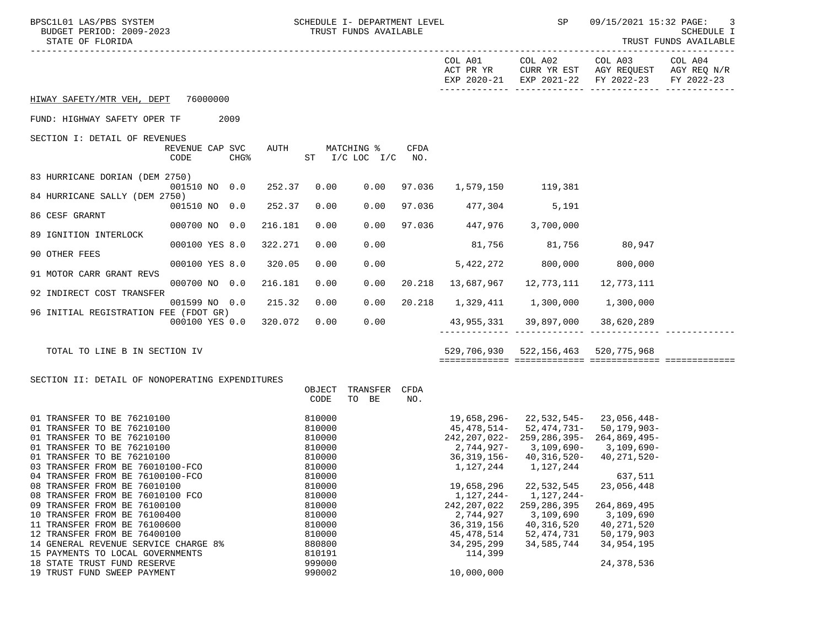| BPSC1L01 LAS/PBS SYSTEM<br>STATE OF FLORIDA                          | SCHEDULE I- DEPARTMENT LEVEL<br>BUDGET PERIOD: 2009-2023<br>TRUST FUNDS AVAILABLE |                  |         |                  | <b>SP</b> SP                 | 09/15/2021 15:32 PAGE:<br>3<br>SCHEDULE I<br>TRUST FUNDS AVAILABLE |                                  |                                              |                                                                                                      |            |
|----------------------------------------------------------------------|-----------------------------------------------------------------------------------|------------------|---------|------------------|------------------------------|--------------------------------------------------------------------|----------------------------------|----------------------------------------------|------------------------------------------------------------------------------------------------------|------------|
|                                                                      |                                                                                   |                  |         |                  |                              |                                                                    | COL A01<br>ACT PR YR             |                                              | COL A02 COL A03 COL A04<br>CURR YR EST AGY REQUEST AGY REQ N/R<br>EXP 2020-21 EXP 2021-22 FY 2022-23 | FY 2022-23 |
| HIWAY SAFETY/MTR VEH, DEPT 76000000                                  |                                                                                   |                  |         |                  |                              |                                                                    |                                  |                                              |                                                                                                      |            |
| FUND: HIGHWAY SAFETY OPER TF                                         |                                                                                   | 2009             |         |                  |                              |                                                                    |                                  |                                              |                                                                                                      |            |
| SECTION I: DETAIL OF REVENUES                                        | REVENUE CAP SVC<br>CODE                                                           | CHG <sup>8</sup> | AUTH    |                  | MATCHING %<br>ST I/C LOC I/C | CFDA<br>NO.                                                        |                                  |                                              |                                                                                                      |            |
| 83 HURRICANE DORIAN (DEM 2750)                                       |                                                                                   |                  |         |                  |                              |                                                                    |                                  |                                              |                                                                                                      |            |
| 84 HURRICANE SALLY (DEM 2750)                                        | 001510 NO 0.0                                                                     |                  | 252.37  | 0.00             | 0.00                         | 97.036                                                             |                                  | 1,579,150 119,381                            |                                                                                                      |            |
| 86 CESF GRARNT                                                       | 001510 NO 0.0                                                                     |                  | 252.37  | 0.00             | 0.00                         |                                                                    | 97.036 477,304 5,191             |                                              |                                                                                                      |            |
|                                                                      | 000700 NO 0.0                                                                     |                  | 216.181 | 0.00             | 0.00                         |                                                                    | 97.036 447,976 3,700,000         |                                              |                                                                                                      |            |
| 89 IGNITION INTERLOCK                                                | 000100 YES 8.0                                                                    |                  | 322.271 | 0.00             | 0.00                         |                                                                    |                                  | 81,756 81,756 80,947                         |                                                                                                      |            |
| 90 OTHER FEES                                                        | 000100 YES 8.0                                                                    |                  | 320.05  | 0.00             | 0.00                         |                                                                    | 5,422,272                        | 800,000                                      | 800,000                                                                                              |            |
| 91 MOTOR CARR GRANT REVS                                             | 000700 NO 0.0                                                                     |                  | 216.181 | 0.00             | 0.00                         |                                                                    | 20.218 13,687,967                | 12,773,111                                   | 12,773,111                                                                                           |            |
| 92 INDIRECT COST TRANSFER                                            |                                                                                   |                  |         |                  |                              |                                                                    |                                  |                                              |                                                                                                      |            |
| 96 INITIAL REGISTRATION FEE (FDOT GR)                                | 001599 NO 0.0                                                                     |                  | 215.32  | 0.00             | 0.00                         |                                                                    | 20.218  1,329,411  1,300,000     |                                              | 1,300,000                                                                                            |            |
|                                                                      | 000100 YES 0.0                                                                    |                  | 320.072 | 0.00             | 0.00                         |                                                                    | 43,955,331 39,897,000 38,620,289 | _________ ______________ ________            |                                                                                                      |            |
| TOTAL TO LINE B IN SECTION IV                                        |                                                                                   |                  |         |                  |                              |                                                                    |                                  | 529,706,930 522,156,463 520,775,968          |                                                                                                      |            |
| SECTION II: DETAIL OF NONOPERATING EXPENDITURES                      |                                                                                   |                  |         |                  |                              |                                                                    |                                  |                                              |                                                                                                      |            |
|                                                                      |                                                                                   |                  |         | OBJECT<br>CODE   | TRANSFER<br>TO BE            | CFDA<br>NO.                                                        |                                  |                                              |                                                                                                      |            |
| 01 TRANSFER TO BE 76210100<br>01 TRANSFER TO BE 76210100             |                                                                                   |                  |         | 810000<br>810000 |                              |                                                                    |                                  | 19,658,296-22,532,545-23,056,448-            | 45, 478, 514 - 52, 474, 731 - 50, 179, 903 -                                                         |            |
| 01 TRANSFER TO BE 76210100<br>01 TRANSFER TO BE 76210100             |                                                                                   |                  |         | 810000<br>810000 |                              |                                                                    |                                  | 2,744,927- 3,109,690- 3,109,690-             | 242, 207, 022-259, 286, 395-264, 869, 495-                                                           |            |
| 01 TRANSFER TO BE 76210100                                           |                                                                                   |                  |         | 810000           |                              |                                                                    |                                  | 36, 319, 156 - 40, 316, 520 - 40, 271, 520 - |                                                                                                      |            |
| 03 TRANSFER FROM BE 76010100-FCO<br>04 TRANSFER FROM BE 76100100-FCO |                                                                                   |                  |         | 810000<br>810000 |                              |                                                                    |                                  | 1, 127, 244 1, 127, 244                      | 637,511                                                                                              |            |
| 08 TRANSFER FROM BE 76010100                                         |                                                                                   |                  |         | 810000           |                              |                                                                    | 19,658,296                       | 22,532,545                                   | 23,056,448                                                                                           |            |
| 08 TRANSFER FROM BE 76010100 FCO                                     |                                                                                   |                  |         | 810000           |                              |                                                                    | 1,127,244-                       | 1,127,244-                                   |                                                                                                      |            |
| 09 TRANSFER FROM BE 76100100<br>10 TRANSFER FROM BE 76100400         |                                                                                   |                  |         | 810000           |                              |                                                                    | 242, 207, 022                    | 259, 286, 395                                | 264,869,495                                                                                          |            |
| 11 TRANSFER FROM BE 76100600                                         |                                                                                   |                  |         | 810000<br>810000 |                              |                                                                    | 2,744,927<br>36, 319, 156        | 3,109,690<br>40, 316, 520                    | 3,109,690<br>40, 271, 520                                                                            |            |
| 12 TRANSFER FROM BE 76400100                                         |                                                                                   |                  |         | 810000           |                              |                                                                    | 45, 478, 514                     | 52, 474, 731                                 | 50,179,903                                                                                           |            |
| 14 GENERAL REVENUE SERVICE CHARGE 8%                                 |                                                                                   |                  |         | 880800           |                              |                                                                    | 34, 295, 299                     | 34,585,744                                   | 34,954,195                                                                                           |            |
| 15 PAYMENTS TO LOCAL GOVERNMENTS                                     |                                                                                   |                  |         | 810191           |                              |                                                                    | 114,399                          |                                              |                                                                                                      |            |
| 18 STATE TRUST FUND RESERVE<br>19 TRUST FUND SWEEP PAYMENT           |                                                                                   |                  |         | 999000<br>990002 |                              |                                                                    | 10,000,000                       |                                              | 24, 378, 536                                                                                         |            |
|                                                                      |                                                                                   |                  |         |                  |                              |                                                                    |                                  |                                              |                                                                                                      |            |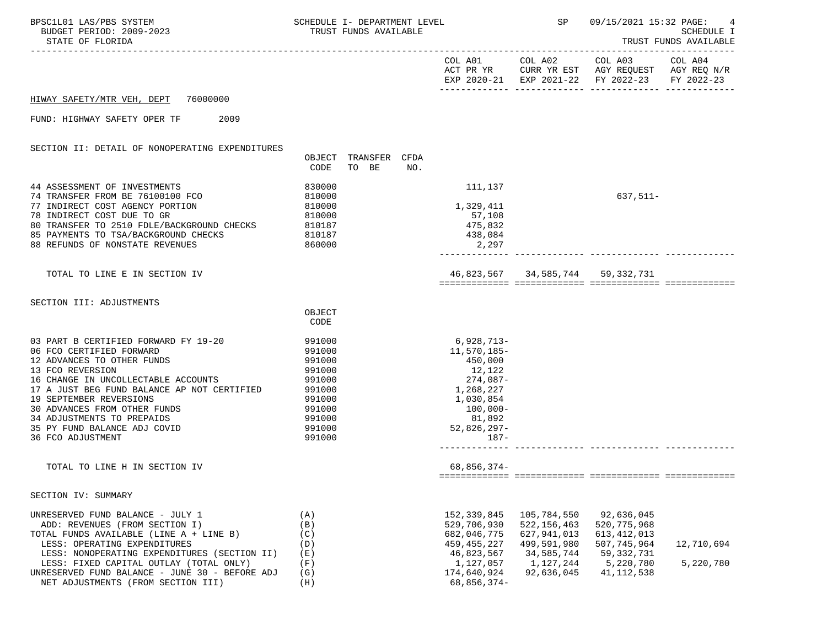| BPSC1L01 LAS/PBS SYSTEM<br>BUDGET PERIOD: 2009-2023<br>STATE OF FLORIDA                                                                                                                                                                                                                                                                                | SCHEDULE I- DEPARTMENT LEVEL<br>TRUST FUNDS AVAILABLE                                                      |                                                                                                                                         | SP                                                                                                  | 09/15/2021 15:32 PAGE:                                                                                                            | 4<br>SCHEDULE I<br>TRUST FUNDS AVAILABLE |
|--------------------------------------------------------------------------------------------------------------------------------------------------------------------------------------------------------------------------------------------------------------------------------------------------------------------------------------------------------|------------------------------------------------------------------------------------------------------------|-----------------------------------------------------------------------------------------------------------------------------------------|-----------------------------------------------------------------------------------------------------|-----------------------------------------------------------------------------------------------------------------------------------|------------------------------------------|
|                                                                                                                                                                                                                                                                                                                                                        |                                                                                                            |                                                                                                                                         |                                                                                                     | COL A01 COL A02 COL A03 COL A04<br>ACT PR YR CURR YR EST AGY REQUEST AGY REQ N/R<br>EXP 2020-21 EXP 2021-22 FY 2022-23 FY 2022-23 |                                          |
| HIWAY SAFETY/MTR VEH, DEPT 76000000                                                                                                                                                                                                                                                                                                                    |                                                                                                            |                                                                                                                                         |                                                                                                     |                                                                                                                                   |                                          |
| FUND: HIGHWAY SAFETY OPER TF<br>2009                                                                                                                                                                                                                                                                                                                   |                                                                                                            |                                                                                                                                         |                                                                                                     |                                                                                                                                   |                                          |
| SECTION II: DETAIL OF NONOPERATING EXPENDITURES                                                                                                                                                                                                                                                                                                        | OBJECT TRANSFER CFDA<br>TO BE<br>CODE                                                                      | NO.                                                                                                                                     |                                                                                                     |                                                                                                                                   |                                          |
| 44 ASSESSMENT OF INVESTMENTS<br>74 TRANSFER FROM BE 76100100 FCO<br>77 INDIRECT COST AGENCY PORTION<br>78 INDIRECT COST DUE TO GR<br>80 TRANSFER TO 2510 FDLE/BACKGROUND CHECKS 810187<br>85 PAYMENTS TO TSA/BACKGROUND CHECKS<br>88 REFUNDS OF NONSTATE REVENUES                                                                                      | 830000<br>810000<br>810000<br>810000<br>810187<br>860000                                                   | 111,137<br>1,329,411<br>57,108<br>475,832<br>438,084<br>2,297                                                                           |                                                                                                     | $637,511-$                                                                                                                        |                                          |
| TOTAL TO LINE E IN SECTION IV                                                                                                                                                                                                                                                                                                                          |                                                                                                            |                                                                                                                                         | 46,823,567 34,585,744 59,332,731                                                                    |                                                                                                                                   |                                          |
| SECTION III: ADJUSTMENTS                                                                                                                                                                                                                                                                                                                               |                                                                                                            |                                                                                                                                         |                                                                                                     |                                                                                                                                   |                                          |
|                                                                                                                                                                                                                                                                                                                                                        | OBJECT<br>CODE                                                                                             |                                                                                                                                         |                                                                                                     |                                                                                                                                   |                                          |
| 03 PART B CERTIFIED FORWARD FY 19-20<br>06 FCO CERTIFIED FORWARD<br>12 ADVANCES TO OTHER FUNDS<br>13 FCO REVERSION<br>16 CHANGE IN UNCOLLECTABLE ACCOUNTS<br>17 A JUST BEG FUND BALANCE AP NOT CERTIFIED<br>19 SEPTEMBER REVERSIONS<br>30 ADVANCES FROM OTHER FUNDS<br>34 ADJUSTMENTS TO PREPAIDS<br>35 PY FUND BALANCE ADJ COVID<br>36 FCO ADJUSTMENT | 991000<br>991000<br>991000<br>991000<br>991000<br>991000<br>991000<br>991000<br>991000<br>991000<br>991000 | 6,928,713-<br>11,570,185–<br>450,000<br>12,122<br>274,087-<br>1,268,227<br>1,030,854<br>$100,000 -$<br>81,892<br>52,826,297-<br>- 187 - |                                                                                                     |                                                                                                                                   |                                          |
| TOTAL TO LINE H IN SECTION IV                                                                                                                                                                                                                                                                                                                          |                                                                                                            | 68,856,374-                                                                                                                             |                                                                                                     |                                                                                                                                   |                                          |
| SECTION IV: SUMMARY                                                                                                                                                                                                                                                                                                                                    |                                                                                                            |                                                                                                                                         |                                                                                                     |                                                                                                                                   |                                          |
| UNRESERVED FUND BALANCE - JULY 1<br>ADD: REVENUES (FROM SECTION I)<br>TOTAL FUNDS AVAILABLE (LINE A + LINE B)<br>LESS: OPERATING EXPENDITURES<br>LESS: NONOPERATING EXPENDITURES (SECTION II)<br>LESS: FIXED CAPITAL OUTLAY (TOTAL ONLY)<br>UNRESERVED FUND BALANCE - JUNE 30 - BEFORE ADJ<br>NET ADJUSTMENTS (FROM SECTION III)                       | (A)<br>(B)<br>(C)<br>(D)<br>(E)<br>(F)<br>(G)<br>(H)                                                       | 152,339,845<br>529,706,930<br>682,046,775<br>459, 455, 227<br>46,823,567<br>1,127,057<br>174,640,924<br>68,856,374-                     | 105,784,550<br>522, 156, 463<br>627,941,013<br>499,591,980<br>34,585,744<br>1,127,244<br>92,636,045 | 92,636,045<br>520, 775, 968<br>613, 412, 013<br>507,745,964<br>59,332,731<br>5,220,780<br>41, 112, 538                            | 12,710,694<br>5,220,780                  |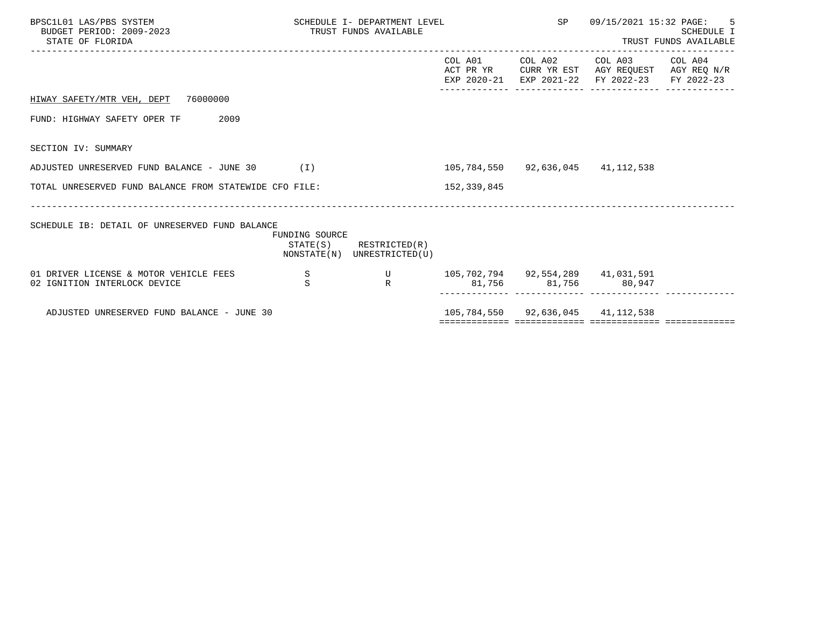| BPSC1L01 LAS/PBS SYSTEM<br>BUDGET PERIOD: 2009-2023<br>STATE OF FLORIDA |                | SCHEDULE I- DEPARTMENT LEVEL<br>TRUST FUNDS AVAILABLE      |                        |                                   | 09/15/2021 15:32 PAGE: 5<br><b>SCHEDULE I</b><br>TRUST FUNDS AVAILABLE                             |            |
|-------------------------------------------------------------------------|----------------|------------------------------------------------------------|------------------------|-----------------------------------|----------------------------------------------------------------------------------------------------|------------|
|                                                                         |                |                                                            | COL A01<br>EXP 2020-21 |                                   | COL A02 COL A03 COL A04<br>ACT PR YR CURR YR EST AGY REQUEST AGY REQ N/R<br>EXP 2021-22 FY 2022-23 | FY 2022-23 |
| HIWAY SAFETY/MTR VEH, DEPT 76000000                                     |                |                                                            |                        |                                   |                                                                                                    |            |
| FUND: HIGHWAY SAFETY OPER TF<br>2009                                    |                |                                                            |                        |                                   |                                                                                                    |            |
| SECTION IV: SUMMARY                                                     |                |                                                            |                        |                                   |                                                                                                    |            |
| ADJUSTED UNRESERVED FUND BALANCE - JUNE 30 $(1)$                        |                |                                                            |                        | 105,784,550 92,636,045 41,112,538 |                                                                                                    |            |
| TOTAL UNRESERVED FUND BALANCE FROM STATEWIDE CFO FILE:                  |                |                                                            | 152,339,845            |                                   |                                                                                                    |            |
| SCHEDULE IB: DETAIL OF UNRESERVED FUND BALANCE                          | FUNDING SOURCE | $STATE(S)$ RESTRICTED $(R)$<br>NONSTATE(N) UNRESTRICTED(U) |                        |                                   |                                                                                                    |            |
| 01 DRIVER LICENSE & MOTOR VEHICLE FEES                                  | S<br>S         | $\mathbf U$<br>$\mathbb{R}$                                |                        | 105,702,794 92,554,289 41,031,591 | 81,756 81,756 80,947                                                                               |            |
| 02 IGNITION INTERLOCK DEVICE                                            |                |                                                            |                        |                                   |                                                                                                    |            |
| ADJUSTED UNRESERVED FUND BALANCE - JUNE 30                              |                |                                                            |                        | 105,784,550 92,636,045 41,112,538 |                                                                                                    |            |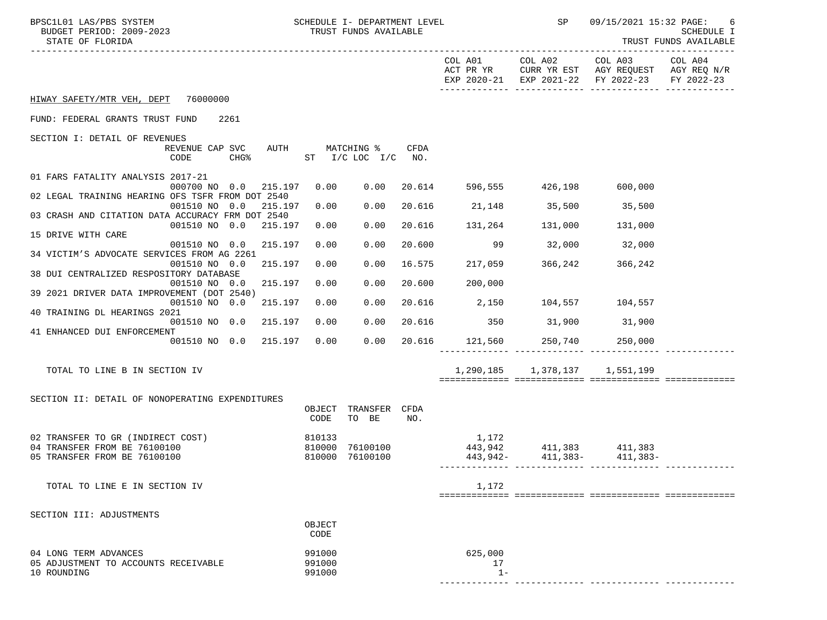| SCHEDULE I- DEPARTMENT LEVEL<br>BPSC1L01 LAS/PBS SYSTEM<br>BUDGET PERIOD: 2009-2023<br>STATE OF FLORIDA |                  | TRUST FUNDS AVAILABLE                 |             |                                |                         | SP 09/15/2021 15:32 PAGE:                                                                                              | -6<br>SCHEDULE I<br>TRUST FUNDS AVAILABLE |
|---------------------------------------------------------------------------------------------------------|------------------|---------------------------------------|-------------|--------------------------------|-------------------------|------------------------------------------------------------------------------------------------------------------------|-------------------------------------------|
|                                                                                                         |                  |                                       |             |                                |                         | COL A01 COL A02 COL A03 COL A04<br>ACT PR YR CURR YR EST AGY REQUEST AGY REQ N/R<br>EXP 2020-21 EXP 2021-22 FY 2022-23 | FY 2022-23                                |
| HIWAY SAFETY/MTR VEH, DEPT 76000000                                                                     |                  |                                       |             |                                |                         |                                                                                                                        |                                           |
| FUND: FEDERAL GRANTS TRUST FUND<br>2261                                                                 |                  |                                       |             |                                |                         |                                                                                                                        |                                           |
| SECTION I: DETAIL OF REVENUES                                                                           |                  |                                       |             |                                |                         |                                                                                                                        |                                           |
| REVENUE CAP SVC<br>CHG <sup>8</sup><br>CODE                                                             |                  | AUTH MATCHING %<br>ST I/C LOC I/C NO. | <b>CFDA</b> |                                |                         |                                                                                                                        |                                           |
| 01 FARS FATALITY ANALYSIS 2017-21<br>000700 NO 0.0<br>215.197                                           | 0.00             | 0.00                                  |             | 20.614 596,555 426,198 600,000 |                         |                                                                                                                        |                                           |
| 02 LEGAL TRAINING HEARING OFS TSFR FROM DOT 2540                                                        |                  |                                       |             |                                |                         |                                                                                                                        |                                           |
| 001510 NO 0.0<br>215.197<br>03 CRASH AND CITATION DATA ACCURACY FRM DOT 2540                            | 0.00             | 0.00                                  |             | 20.616 21,148 35,500 35,500    |                         |                                                                                                                        |                                           |
| 001510 NO 0.0<br>215.197                                                                                | 0.00             | 0.00                                  |             | 20.616 131,264 131,000 131,000 |                         |                                                                                                                        |                                           |
| 15 DRIVE WITH CARE<br>001510 NO 0.0<br>215.197                                                          | 0.00             | 0.00                                  | 20.600      |                                | 99 32,000 32,000        |                                                                                                                        |                                           |
| 34 VICTIM'S ADVOCATE SERVICES FROM AG 2261                                                              |                  |                                       |             |                                |                         |                                                                                                                        |                                           |
| 001510 NO 0.0<br>215.197<br>38 DUI CENTRALIZED RESPOSITORY DATABASE                                     | 0.00             | 0.00                                  | 16.575      |                                | 217,059 366,242 366,242 |                                                                                                                        |                                           |
| 001510 NO 0.0<br>215.197                                                                                | 0.00             | 0.00                                  | 20.600      | 200,000                        |                         |                                                                                                                        |                                           |
| 39 2021 DRIVER DATA IMPROVEMENT (DOT 2540)<br>001510 NO 0.0<br>215.197                                  | 0.00             | 0.00                                  |             | 20.616 2,150 104,557 104,557   |                         |                                                                                                                        |                                           |
| 40 TRAINING DL HEARINGS 2021<br>001510 NO 0.0<br>215.197                                                | 0.00             | 0.00                                  |             | 20.616 350 31,900 31,900       |                         |                                                                                                                        |                                           |
| 41 ENHANCED DUI ENFORCEMENT                                                                             |                  |                                       |             |                                |                         |                                                                                                                        |                                           |
| 001510 NO 0.0 215.197                                                                                   | 0.00             | 0.00                                  |             | 20.616 121,560 250,740 250,000 |                         |                                                                                                                        |                                           |
| TOTAL TO LINE B IN SECTION IV                                                                           |                  |                                       |             |                                |                         | 1,290,185 1,378,137 1,551,199                                                                                          |                                           |
|                                                                                                         |                  |                                       |             |                                |                         |                                                                                                                        |                                           |
| SECTION II: DETAIL OF NONOPERATING EXPENDITURES                                                         |                  |                                       |             |                                |                         |                                                                                                                        |                                           |
|                                                                                                         | CODE             | OBJECT TRANSFER CFDA<br>TO BE         | NO.         |                                |                         |                                                                                                                        |                                           |
| 02 TRANSFER TO GR (INDIRECT COST)                                                                       | 810133           |                                       |             | 1,172                          |                         |                                                                                                                        |                                           |
| 04 TRANSFER FROM BE 76100100<br>05 TRANSFER FROM BE 76100100                                            |                  | 810000 76100100<br>810000 76100100    |             | $443,942$ $411,383$ $411,383$  |                         | $443,942 - 411,383 - 411,383 -$                                                                                        |                                           |
|                                                                                                         |                  |                                       |             |                                |                         |                                                                                                                        |                                           |
| TOTAL TO LINE E IN SECTION IV                                                                           |                  |                                       |             | 1,172                          |                         |                                                                                                                        |                                           |
|                                                                                                         |                  |                                       |             |                                |                         |                                                                                                                        |                                           |
| SECTION III: ADJUSTMENTS                                                                                |                  |                                       |             |                                |                         |                                                                                                                        |                                           |
|                                                                                                         | OBJECT<br>CODE   |                                       |             |                                |                         |                                                                                                                        |                                           |
| 04 LONG TERM ADVANCES                                                                                   | 991000           |                                       |             | 625,000                        |                         |                                                                                                                        |                                           |
| 05 ADJUSTMENT TO ACCOUNTS RECEIVABLE<br>10 ROUNDING                                                     | 991000<br>991000 |                                       |             | 17<br>$1 -$                    |                         |                                                                                                                        |                                           |
|                                                                                                         |                  |                                       |             |                                |                         |                                                                                                                        |                                           |

------------- ------------- ------------- -------------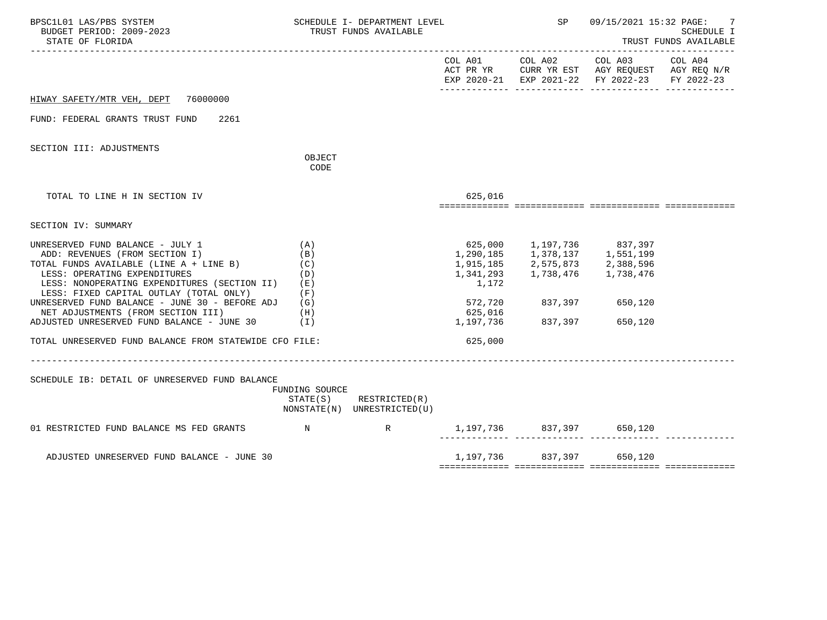| BPSC1L01 LAS/PBS SYSTEM<br>BUDGET PERIOD: 2009-2023<br>STATE OF FLORIDA                                                                                                                                                                                                                                                          |                                                      | SCHEDULE I- DEPARTMENT LEVEL<br>TRUST FUNDS AVAILABLE      |                                                                    | SP                                                                                                                                     | 09/15/2021 15:32 PAGE:<br><b>SCHEDULE I</b><br>TRUST FUNDS AVAILABLE                                                              |  |
|----------------------------------------------------------------------------------------------------------------------------------------------------------------------------------------------------------------------------------------------------------------------------------------------------------------------------------|------------------------------------------------------|------------------------------------------------------------|--------------------------------------------------------------------|----------------------------------------------------------------------------------------------------------------------------------------|-----------------------------------------------------------------------------------------------------------------------------------|--|
|                                                                                                                                                                                                                                                                                                                                  |                                                      |                                                            |                                                                    |                                                                                                                                        | COL A01 COL A02 COL A03 COL A04<br>ACT PR YR CURR YR EST AGY REQUEST AGY REQ N/R<br>EXP 2020-21 EXP 2021-22 FY 2022-23 FY 2022-23 |  |
| HIWAY SAFETY/MTR VEH, DEPT 76000000                                                                                                                                                                                                                                                                                              |                                                      |                                                            |                                                                    |                                                                                                                                        |                                                                                                                                   |  |
| FUND: FEDERAL GRANTS TRUST FUND<br>2261                                                                                                                                                                                                                                                                                          |                                                      |                                                            |                                                                    |                                                                                                                                        |                                                                                                                                   |  |
| SECTION III: ADJUSTMENTS                                                                                                                                                                                                                                                                                                         | OBJECT<br>CODE                                       |                                                            |                                                                    |                                                                                                                                        |                                                                                                                                   |  |
| TOTAL TO LINE H IN SECTION IV                                                                                                                                                                                                                                                                                                    |                                                      |                                                            | 625,016                                                            |                                                                                                                                        |                                                                                                                                   |  |
| SECTION IV: SUMMARY                                                                                                                                                                                                                                                                                                              |                                                      |                                                            |                                                                    |                                                                                                                                        |                                                                                                                                   |  |
| UNRESERVED FUND BALANCE - JULY 1<br>ADD: REVENUES (FROM SECTION I)<br>TOTAL FUNDS AVAILABLE (LINE A + LINE B)<br>LESS: OPERATING EXPENDITURES<br>LESS: NONOPERATING EXPENDITURES (SECTION II)<br>LESS: FIXED CAPITAL OUTLAY (TOTAL ONLY)<br>UNRESERVED FUND BALANCE - JUNE 30 - BEFORE ADJ<br>NET ADJUSTMENTS (FROM SECTION III) | (A)<br>(B)<br>(C)<br>(D)<br>(E)<br>(F)<br>(G)<br>(H) |                                                            | 1,290,185<br>1,915,185<br>1,341,293<br>1,172<br>572,720<br>625,016 | 625,000 1,197,736 837,397<br>$1,378,137$<br>$2,575,873$<br>$1,738,476$<br>$2,388,596$<br>$1,738,476$<br>$1,738,476$<br>837,397 650,120 |                                                                                                                                   |  |
| ADJUSTED UNRESERVED FUND BALANCE - JUNE 30 (I)                                                                                                                                                                                                                                                                                   |                                                      |                                                            | 1,197,736                                                          | 837,397 650,120                                                                                                                        |                                                                                                                                   |  |
| TOTAL UNRESERVED FUND BALANCE FROM STATEWIDE CFO FILE:<br>SCHEDULE IB: DETAIL OF UNRESERVED FUND BALANCE<br>01 RESTRICTED FUND BALANCE MS FED GRANTS N                                                                                                                                                                           | FUNDING SOURCE                                       | $STATE(S)$ RESTRICTED $(R)$<br>NONSTATE(N) UNRESTRICTED(U) | 625,000                                                            | 1,197,736 837,397 650,120                                                                                                              |                                                                                                                                   |  |
|                                                                                                                                                                                                                                                                                                                                  |                                                      |                                                            |                                                                    | _____ ______________ _____                                                                                                             |                                                                                                                                   |  |
| ADJUSTED UNRESERVED FUND BALANCE - JUNE 30                                                                                                                                                                                                                                                                                       |                                                      |                                                            |                                                                    | 1,197,736 837,397 650,120                                                                                                              |                                                                                                                                   |  |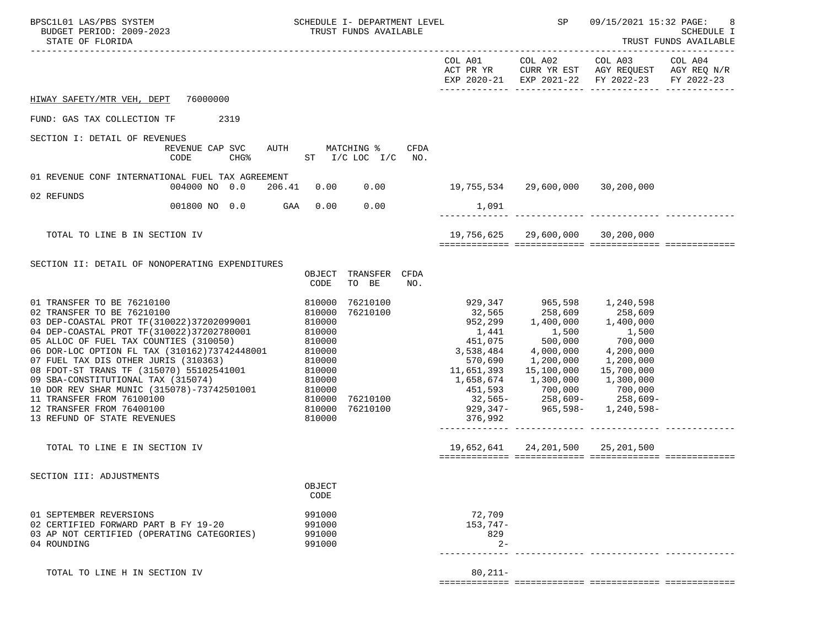| BPSC1L01 LAS/PBS SYSTEM<br>BUDGET PERIOD: 2009-2023<br>STATE OF FLORIDA                                                                                                                                                                                                                                                                                                                                                                               | SCHEDULE I- DEPARTMENT LEVEL<br>TRUST FUNDS AVAILABLE                                    |                                                                                                                                                             | SP                                                                            | 09/15/2021 15:32 PAGE:<br>8<br>SCHEDULE I<br>TRUST FUNDS AVAILABLE                                                     |            |
|-------------------------------------------------------------------------------------------------------------------------------------------------------------------------------------------------------------------------------------------------------------------------------------------------------------------------------------------------------------------------------------------------------------------------------------------------------|------------------------------------------------------------------------------------------|-------------------------------------------------------------------------------------------------------------------------------------------------------------|-------------------------------------------------------------------------------|------------------------------------------------------------------------------------------------------------------------|------------|
|                                                                                                                                                                                                                                                                                                                                                                                                                                                       |                                                                                          |                                                                                                                                                             |                                                                               | COL A01 COL A02 COL A03 COL A04<br>ACT PR YR CURR YR EST AGY REQUEST AGY REQ N/R<br>EXP 2020-21 EXP 2021-22 FY 2022-23 | FY 2022-23 |
| HIWAY SAFETY/MTR VEH, DEPT 76000000                                                                                                                                                                                                                                                                                                                                                                                                                   |                                                                                          |                                                                                                                                                             |                                                                               |                                                                                                                        |            |
| FUND: GAS TAX COLLECTION TF 2319                                                                                                                                                                                                                                                                                                                                                                                                                      |                                                                                          |                                                                                                                                                             |                                                                               |                                                                                                                        |            |
| SECTION I: DETAIL OF REVENUES<br>REVENUE CAP SVC AUTH<br>CODE                                                                                                                                                                                                                                                                                                                                                                                         | MATCHING %<br><b>CFDA</b><br>CHG <sup>&amp;</sup> ST I/C LOC I/C NO.                     |                                                                                                                                                             |                                                                               |                                                                                                                        |            |
| 01 REVENUE CONF INTERNATIONAL FUEL TAX AGREEMENT<br>004000 NO 0.0 206.41                                                                                                                                                                                                                                                                                                                                                                              | $0.00$ 19,755,534 29,600,000 30,200,000<br>0.00                                          |                                                                                                                                                             |                                                                               |                                                                                                                        |            |
| 02 REFUNDS<br>001800 NO 0.0 GAA 0.00                                                                                                                                                                                                                                                                                                                                                                                                                  | 0.00                                                                                     | 1,091                                                                                                                                                       |                                                                               |                                                                                                                        |            |
|                                                                                                                                                                                                                                                                                                                                                                                                                                                       |                                                                                          |                                                                                                                                                             |                                                                               |                                                                                                                        |            |
| TOTAL TO LINE B IN SECTION IV                                                                                                                                                                                                                                                                                                                                                                                                                         |                                                                                          |                                                                                                                                                             | 19,756,625 29,600,000 30,200,000                                              |                                                                                                                        |            |
| SECTION II: DETAIL OF NONOPERATING EXPENDITURES<br>01 TRANSFER TO BE 76210100<br>02 TRANSFER TO BE 76210100<br>03 DEP-COASTAL PROT TF(310022)37202099001 810000<br>04 DEP-COASTAL PROT TF (310022) 37202780001                                                                                                                                                                                                                                        | OBJECT TRANSFER CFDA<br>TO BE<br>CODE<br>NO.<br>76210100<br>810000<br>76210100<br>810000 | 929,347 965,598 1,240,598                                                                                                                                   |                                                                               |                                                                                                                        |            |
| 05 ALLOC OF FUEL TAX COUNTIES (310050)<br>06 DOR-LOC OPTION FL TAX (310162)73742448001 810000<br>07 FUEL TAX DIS OTHER JURIS (310363) 810000<br>08 FDOT-ST TRANS TF (315070) 55102541001 810000<br>09 SBA-CONSTITUTIONAL TAX (315074)<br>10 DOR REV SHAR MUNIC (315078)-73742501001 810000<br>11 TRANSFER FROM 76100100 810000 810000<br>12 TRANSFER FROM 76400100 810000 810000<br>13 REFUND OF STATE REVENUES 810000<br>13 REFUND OF STATE REVENUES | 810000<br>810000<br>76210100<br>76210100<br>810000                                       | 1,441 1,500<br>451,075 500,000<br>3,538,484<br>570,690<br>11,651,393<br>$1,658,674$ $1,300,000$ $1,300,000$<br>$929,347 - 965,598 - 1,240,598 -$<br>376,992 | $4,000,000$ $4,200,000$<br>1,200,000<br>15,100,000<br>451,593 700,000 700,000 | 1,500<br>700,000<br>1,200,000<br>15,700,000<br>$32,565 - 258,609 - 258,609 -$                                          |            |
| TOTAL TO LINE E IN SECTION IV                                                                                                                                                                                                                                                                                                                                                                                                                         |                                                                                          |                                                                                                                                                             | 19,652,641 24,201,500 25,201,500                                              |                                                                                                                        |            |
| SECTION III: ADJUSTMENTS                                                                                                                                                                                                                                                                                                                                                                                                                              | OBJECT<br>CODE                                                                           |                                                                                                                                                             |                                                                               |                                                                                                                        |            |
| 01 SEPTEMBER REVERSIONS<br>02 CERTIFIED FORWARD PART B FY 19-20<br>03 AP NOT CERTIFIED (OPERATING CATEGORIES)<br>04 ROUNDING                                                                                                                                                                                                                                                                                                                          | 991000<br>991000<br>991000<br>991000                                                     | 72,709<br>$153,747-$<br>829<br>$2 -$                                                                                                                        |                                                                               |                                                                                                                        |            |
| TOTAL TO LINE H IN SECTION IV                                                                                                                                                                                                                                                                                                                                                                                                                         |                                                                                          | $80, 211 -$                                                                                                                                                 |                                                                               |                                                                                                                        |            |

============= ============= ============= =============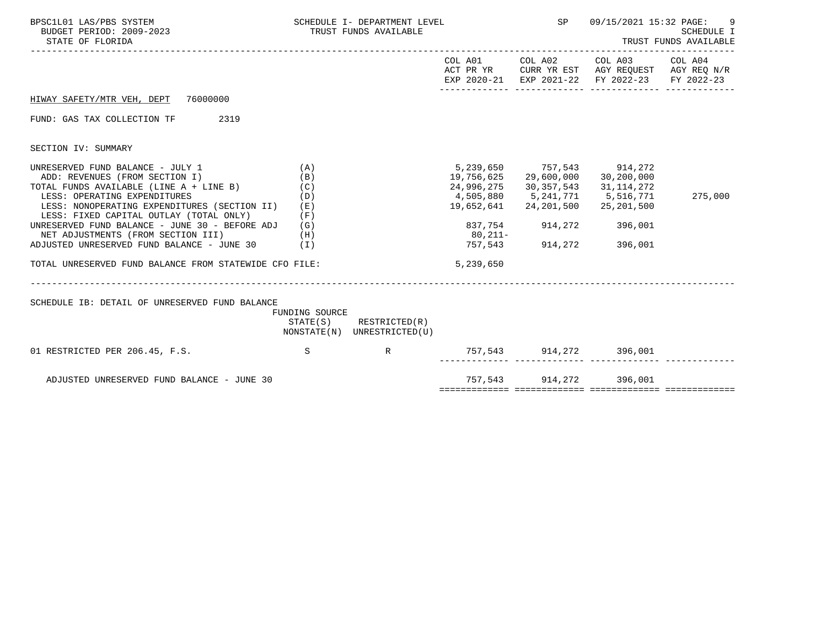| BPSC1L01 LAS/PBS SYSTEM<br>BUDGET PERIOD: 2009-2023<br>STATE OF FLORIDA                                                                                                                                                                                                                                                                                                                                                                             |                                               | SCHEDULE I- DEPARTMENT LEVEL<br>TRUST FUNDS AVAILABLE      |                                                    | SP                                                                                                                                 | 09/15/2021 15:32 PAGE:<br><b>SCHEDULE I</b><br>TRUST FUNDS AVAILABLE                                   |            |
|-----------------------------------------------------------------------------------------------------------------------------------------------------------------------------------------------------------------------------------------------------------------------------------------------------------------------------------------------------------------------------------------------------------------------------------------------------|-----------------------------------------------|------------------------------------------------------------|----------------------------------------------------|------------------------------------------------------------------------------------------------------------------------------------|--------------------------------------------------------------------------------------------------------|------------|
|                                                                                                                                                                                                                                                                                                                                                                                                                                                     |                                               |                                                            |                                                    | COL A01 COL A02                                                                                                                    | COL A03 COL A04<br>ACT PR YR CURR YR EST AGY REQUEST AGY REQ N/R<br>EXP 2020-21 EXP 2021-22 FY 2022-23 | FY 2022-23 |
| HIWAY SAFETY/MTR VEH, DEPT 76000000                                                                                                                                                                                                                                                                                                                                                                                                                 |                                               |                                                            |                                                    |                                                                                                                                    |                                                                                                        |            |
| FUND: GAS TAX COLLECTION TF<br>2319                                                                                                                                                                                                                                                                                                                                                                                                                 |                                               |                                                            |                                                    |                                                                                                                                    |                                                                                                        |            |
| SECTION IV: SUMMARY                                                                                                                                                                                                                                                                                                                                                                                                                                 |                                               |                                                            |                                                    |                                                                                                                                    |                                                                                                        |            |
| UNRESERVED FUND BALANCE - JULY 1<br>ADD: REVENUES (FROM SECTION I)<br>TOTAL FUNDS AVAILABLE (LINE A + LINE B)<br>LESS: OPERATING EXPENDITURES<br>LESS: NONOPERATING EXPENDITURES (SECTION II)<br>LESS: FIXED CAPITAL OUTLAY (TOTAL ONLY)<br>UNRESERVED FUND BALANCE - JUNE 30 - BEFORE ADJ (G)<br>NET ADJUSTMENTS (FROM SECTION III)<br>(H)<br>ADJUSTED UNRESERVED FUND BALANCE - JUNE 30<br>TOTAL UNRESERVED FUND BALANCE FROM STATEWIDE CFO FILE: | (A)<br>(B)<br>(C)<br>(D)<br>(E)<br>(F)<br>(I) |                                                            | 19,756,625<br>24,996,275<br>$80,211-$<br>5,239,650 | 5, 239, 650 757, 543 914, 272<br>29,600,000<br>30, 357, 543<br>19,652,641 24,201,500<br>837,754 914,272 396,001<br>757,543 914,272 | 30,200,000<br>31,114,272<br>4,505,880 5,241,771 5,516,771<br>25,201,500<br>396,001                     | 275,000    |
| SCHEDULE IB: DETAIL OF UNRESERVED FUND BALANCE                                                                                                                                                                                                                                                                                                                                                                                                      | FUNDING SOURCE                                | $STATE(S)$ RESTRICTED $(R)$<br>NONSTATE(N) UNRESTRICTED(U) |                                                    |                                                                                                                                    |                                                                                                        |            |
| 01 RESTRICTED PER 206.45, F.S.                                                                                                                                                                                                                                                                                                                                                                                                                      | S                                             | R                                                          |                                                    |                                                                                                                                    | 757,543 914,272 396,001<br>.comun concertational concertations concertation                            |            |
| ADJUSTED UNRESERVED FUND BALANCE - JUNE 30                                                                                                                                                                                                                                                                                                                                                                                                          |                                               |                                                            |                                                    | 757,543 914,272 396,001                                                                                                            |                                                                                                        |            |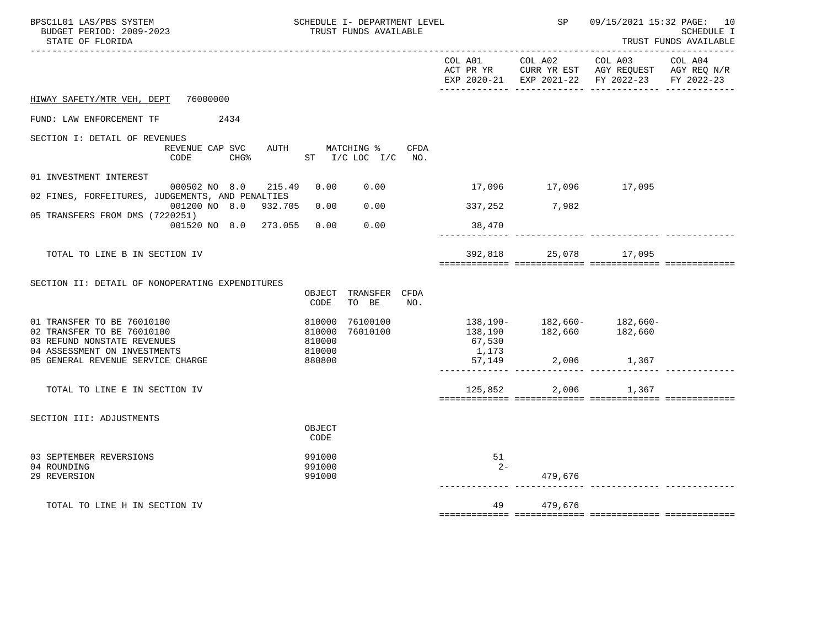| BPSC1L01 LAS/PBS SYSTEM<br>BUDGET PERIOD: 2009-2023<br>STATE OF FLORIDA                                                 | SCHEDULE I- DEPARTMENT LEVEL<br>TRUST FUNDS AVAILABLE |                               |      |                        | SP                    | 09/15/2021 15:32 PAGE: 10<br>SCHEDULE I<br>TRUST FUNDS AVAILABLE                                                                                       |  |
|-------------------------------------------------------------------------------------------------------------------------|-------------------------------------------------------|-------------------------------|------|------------------------|-----------------------|--------------------------------------------------------------------------------------------------------------------------------------------------------|--|
|                                                                                                                         |                                                       |                               |      |                        |                       | COL A01 COL A02 COL A03 COL A04<br>ACT PR YR $\,$ CURR YR EST $\,$ AGY REQUEST $\,$ AGY REQ $\rm N/R$<br>EXP 2020-21 EXP 2021-22 FY 2022-23 FY 2022-23 |  |
| HIWAY SAFETY/MTR VEH, DEPT 76000000                                                                                     |                                                       |                               |      |                        |                       |                                                                                                                                                        |  |
| FUND: LAW ENFORCEMENT TF 2434                                                                                           |                                                       |                               |      |                        |                       |                                                                                                                                                        |  |
| SECTION I: DETAIL OF REVENUES<br>REVENUE CAP SVC<br>CHG% ST I/C LOC I/C NO.<br>CODE                                     |                                                       | AUTH MATCHING %               | CFDA |                        |                       |                                                                                                                                                        |  |
| 01 INVESTMENT INTEREST                                                                                                  |                                                       |                               |      |                        |                       |                                                                                                                                                        |  |
| 000502 NO 8.0 215.49<br>02 FINES, FORFEITURES, JUDGEMENTS, AND PENALTIES                                                | 0.00                                                  | 0.00                          |      | 17,096 17,096 17,095   |                       |                                                                                                                                                        |  |
| 001200 NO 8.0 932.705 0.00<br>05 TRANSFERS FROM DMS (7220251)                                                           |                                                       |                               |      | $0.00$ 337, 252 7, 982 |                       |                                                                                                                                                        |  |
| 001520 NO 8.0 273.055 0.00                                                                                              |                                                       | 0.00                          |      | 38,470                 |                       |                                                                                                                                                        |  |
| TOTAL TO LINE B IN SECTION IV                                                                                           |                                                       |                               |      |                        | 392,818 25,078 17,095 |                                                                                                                                                        |  |
| SECTION II: DETAIL OF NONOPERATING EXPENDITURES                                                                         | CODE                                                  | OBJECT TRANSFER CFDA<br>TO BE | NO.  |                        |                       |                                                                                                                                                        |  |
| 01 TRANSFER TO BE 76010100<br>02 TRANSFER TO BE 76010100<br>03 REFUND NONSTATE REVENUES<br>04 ASSESSMENT ON INVESTMENTS | 810000<br>810000<br>810000<br>810000                  | 76100100<br>76010100          |      | 67,530<br>1,173        |                       | 138,190- 182,660- 182,660-<br>138,190 182,660 182,660                                                                                                  |  |
| 05 GENERAL REVENUE SERVICE CHARGE                                                                                       | 880800                                                |                               |      |                        |                       |                                                                                                                                                        |  |
| TOTAL TO LINE E IN SECTION IV                                                                                           |                                                       |                               |      | 125,852                |                       | 2,006 1,367                                                                                                                                            |  |
| SECTION III: ADJUSTMENTS                                                                                                | OBJECT<br>CODE                                        |                               |      |                        |                       |                                                                                                                                                        |  |
| 03 SEPTEMBER REVERSIONS<br>04 ROUNDING<br>29 REVERSION                                                                  | 991000<br>991000<br>991000                            |                               |      | 51<br>$2 -$            | 479,676               |                                                                                                                                                        |  |
| TOTAL TO LINE H IN SECTION IV                                                                                           |                                                       |                               |      |                        | 49 479,676            |                                                                                                                                                        |  |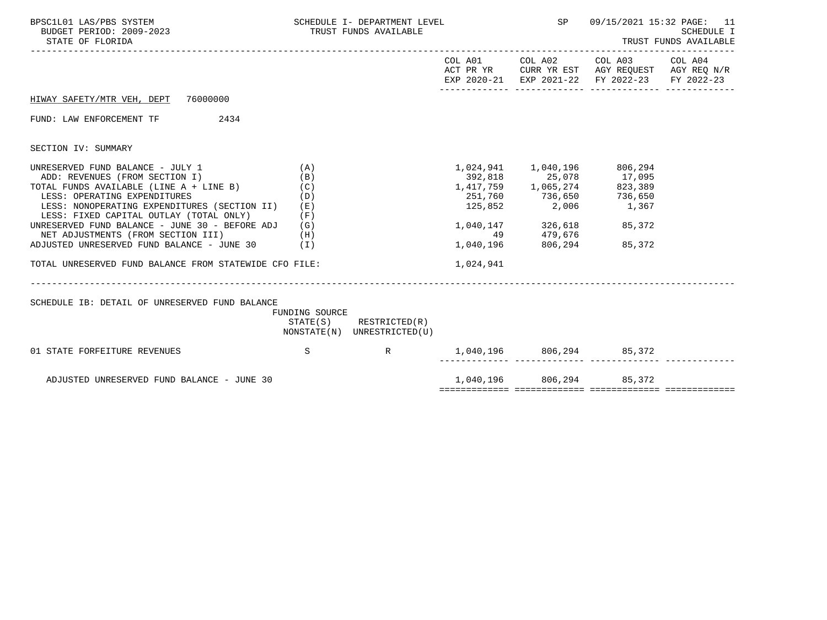| BPSC1L01 LAS/PBS SYSTEM<br>BUDGET PERIOD: 2009-2023<br>STATE OF FLORIDA                                                                                                                                                                                                                                                                                                                                                                                      | SCHEDULE I- DEPARTMENT LEVEL<br>TRUST FUNDS AVAILABLE |                                                            |                                                                                                                                                                                                                                                                                       | SP                                                          | 09/15/2021 15:32 PAGE: 11<br>SCHEDULE I<br>TRUST FUNDS AVAILABLE                               |  |
|--------------------------------------------------------------------------------------------------------------------------------------------------------------------------------------------------------------------------------------------------------------------------------------------------------------------------------------------------------------------------------------------------------------------------------------------------------------|-------------------------------------------------------|------------------------------------------------------------|---------------------------------------------------------------------------------------------------------------------------------------------------------------------------------------------------------------------------------------------------------------------------------------|-------------------------------------------------------------|------------------------------------------------------------------------------------------------|--|
|                                                                                                                                                                                                                                                                                                                                                                                                                                                              |                                                       |                                                            |                                                                                                                                                                                                                                                                                       |                                                             | ACT PR YR CURR YR EST AGY REQUEST AGY REQ N/R<br>EXP 2020-21 EXP 2021-22 FY 2022-23 FY 2022-23 |  |
| HIWAY SAFETY/MTR VEH, DEPT 76000000                                                                                                                                                                                                                                                                                                                                                                                                                          |                                                       |                                                            |                                                                                                                                                                                                                                                                                       |                                                             |                                                                                                |  |
| 2434<br>FUND: LAW ENFORCEMENT TF                                                                                                                                                                                                                                                                                                                                                                                                                             |                                                       |                                                            |                                                                                                                                                                                                                                                                                       |                                                             |                                                                                                |  |
| SECTION IV: SUMMARY                                                                                                                                                                                                                                                                                                                                                                                                                                          |                                                       |                                                            |                                                                                                                                                                                                                                                                                       |                                                             |                                                                                                |  |
| UNRESERVED FUND BALANCE - JULY 1<br>ADD: REVENUES (FROM SECTION I)<br>TOTAL FUNDS AVAILABLE (LINE A + LINE B)<br>LESS: OPERATING EXPENDITURES<br>LESS: NONOPERATING EXPENDITURES (SECTION II) (E)<br>LESS: FIXED CAPITAL OUTLAY (TOTAL ONLY)<br>UNRESERVED FUND BALANCE - JUNE 30 - BEFORE ADJ $(G)$<br>NET ADJUSTMENTS (FROM SECTION III) (H)<br>ADJUSTED UNRESERVED FUND BALANCE - JUNE $30$ (I)<br>TOTAL UNRESERVED FUND BALANCE FROM STATEWIDE CFO FILE: | (A)<br>(B)<br>(C)<br>(D)<br>(F)                       | _____________________________                              | $1,417,759$<br>$25,078$<br>$251,760$<br>$125,852$<br>$125,852$<br>$25078$<br>$17,095$<br>$17,095$<br>$17,095$<br>$17,095$<br>$17,095$<br>$17,095$<br>$17,095$<br>$17,095$<br>$17,095$<br>$17,095$<br>$17,095$<br>$17,095$<br>$17,095$<br>$17,095$<br>$17,095$<br>$17,09$<br>1,024,941 | 1,040,147 326,618 85,372<br>49 479,676<br>1,040,196 806,294 | 85,372                                                                                         |  |
| SCHEDULE IB: DETAIL OF UNRESERVED FUND BALANCE                                                                                                                                                                                                                                                                                                                                                                                                               | FUNDING SOURCE                                        | $STATE(S)$ RESTRICTED $(R)$<br>NONSTATE(N) UNRESTRICTED(U) |                                                                                                                                                                                                                                                                                       |                                                             |                                                                                                |  |
| $\mathbf S$<br>01 STATE FORFEITURE REVENUES                                                                                                                                                                                                                                                                                                                                                                                                                  |                                                       | R                                                          | 1,040,196 806,294 85,372                                                                                                                                                                                                                                                              |                                                             |                                                                                                |  |
| ADJUSTED UNRESERVED FUND BALANCE - JUNE 30                                                                                                                                                                                                                                                                                                                                                                                                                   |                                                       |                                                            |                                                                                                                                                                                                                                                                                       | 1,040,196 806,294 85,372                                    |                                                                                                |  |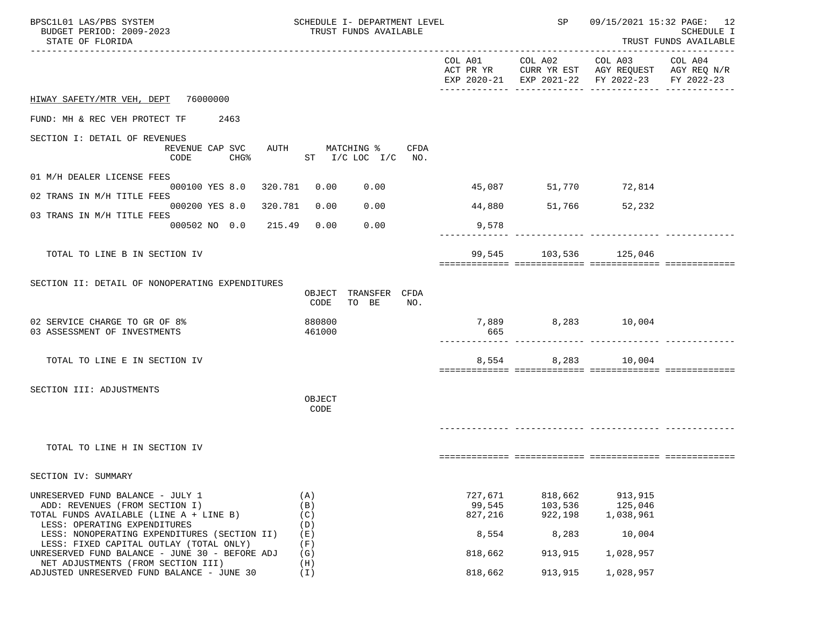| BPSC1L01 LAS/PBS SYSTEM<br>BUDGET PERIOD: 2009-2023<br>STATE OF FLORIDA                                                                                                                                                                  |                                                     |                                        | SCHEDULE I- DEPARTMENT LEVEL<br>TRUST FUNDS AVAILABLE | SP                                    | 09/15/2021 15:32 PAGE: 12<br><b>SCHEDULE I</b><br>TRUST FUNDS AVAILABLE |                                                                                                                                   |  |
|------------------------------------------------------------------------------------------------------------------------------------------------------------------------------------------------------------------------------------------|-----------------------------------------------------|----------------------------------------|-------------------------------------------------------|---------------------------------------|-------------------------------------------------------------------------|-----------------------------------------------------------------------------------------------------------------------------------|--|
|                                                                                                                                                                                                                                          |                                                     |                                        |                                                       |                                       |                                                                         | COL A01 COL A02 COL A03 COL A04<br>ACT PR YR CURR YR EST AGY REQUEST AGY REQ N/R<br>EXP 2020-21 EXP 2021-22 FY 2022-23 FY 2022-23 |  |
| HIWAY SAFETY/MTR VEH, DEPT 76000000                                                                                                                                                                                                      |                                                     |                                        |                                                       |                                       |                                                                         |                                                                                                                                   |  |
| FUND: MH & REC VEH PROTECT TF 2463                                                                                                                                                                                                       |                                                     |                                        |                                                       |                                       |                                                                         |                                                                                                                                   |  |
| SECTION I: DETAIL OF REVENUES                                                                                                                                                                                                            | REVENUE CAP SVC<br>CODE<br>CHG%                     |                                        | AUTH MATCHING % CFDA<br>ST I/C LOC I/C NO.            |                                       |                                                                         |                                                                                                                                   |  |
| 01 M/H DEALER LICENSE FEES                                                                                                                                                                                                               |                                                     |                                        |                                                       |                                       |                                                                         |                                                                                                                                   |  |
| 02 TRANS IN M/H TITLE FEES                                                                                                                                                                                                               | 000100 YES 8.0 320.781 0.00                         |                                        | 0.00                                                  |                                       | 45,087 51,770 72,814                                                    |                                                                                                                                   |  |
| 03 TRANS IN M/H TITLE FEES                                                                                                                                                                                                               | 000200 YES 8.0 320.781<br>000502 NO 0.0 215.49 0.00 | 0.00                                   | 0.00<br>0.00                                          |                                       | 44,880 51,766 52,232                                                    |                                                                                                                                   |  |
|                                                                                                                                                                                                                                          |                                                     |                                        |                                                       | 9,578                                 |                                                                         |                                                                                                                                   |  |
| TOTAL TO LINE B IN SECTION IV                                                                                                                                                                                                            |                                                     |                                        |                                                       |                                       | 99,545 103,536 125,046                                                  |                                                                                                                                   |  |
| SECTION II: DETAIL OF NONOPERATING EXPENDITURES<br>02 SERVICE CHARGE TO GR OF 8%<br>03 ASSESSMENT OF INVESTMENTS                                                                                                                         |                                                     | CODE<br>880800<br>461000               | OBJECT TRANSFER CFDA<br>TO BE<br>NO.                  | 665                                   | 7,889                                                                   | 8,283 10,004                                                                                                                      |  |
| TOTAL TO LINE E IN SECTION IV                                                                                                                                                                                                            |                                                     |                                        |                                                       |                                       | 8,554 8,283 10,004                                                      |                                                                                                                                   |  |
| SECTION III: ADJUSTMENTS                                                                                                                                                                                                                 |                                                     | OBJECT<br>CODE                         |                                                       |                                       |                                                                         |                                                                                                                                   |  |
| TOTAL TO LINE H IN SECTION IV                                                                                                                                                                                                            |                                                     |                                        |                                                       |                                       |                                                                         |                                                                                                                                   |  |
| SECTION IV: SUMMARY                                                                                                                                                                                                                      |                                                     |                                        |                                                       |                                       |                                                                         |                                                                                                                                   |  |
| UNRESERVED FUND BALANCE - JULY 1<br>ADD: REVENUES (FROM SECTION I)<br>TOTAL FUNDS AVAILABLE (LINE A + LINE B)<br>LESS: OPERATING EXPENDITURES<br>LESS: NONOPERATING EXPENDITURES (SECTION II)<br>LESS: FIXED CAPITAL OUTLAY (TOTAL ONLY) |                                                     | (A)<br>(B)<br>(C)<br>(D)<br>(E)<br>(F) |                                                       | 727,671<br>99,545<br>827,216<br>8,554 | 818,662<br>103,536<br>922,198<br>8,283                                  | 913,915<br>125,046<br>1,038,961<br>10,004                                                                                         |  |
| UNRESERVED FUND BALANCE - JUNE 30 - BEFORE ADJ<br>NET ADJUSTMENTS (FROM SECTION III)                                                                                                                                                     |                                                     | (G)<br>(H)                             |                                                       | 818,662                               | 913,915                                                                 | 1,028,957                                                                                                                         |  |
| ADJUSTED UNRESERVED FUND BALANCE - JUNE 30                                                                                                                                                                                               |                                                     | (T)                                    |                                                       | 818,662                               | 913,915                                                                 | 1,028,957                                                                                                                         |  |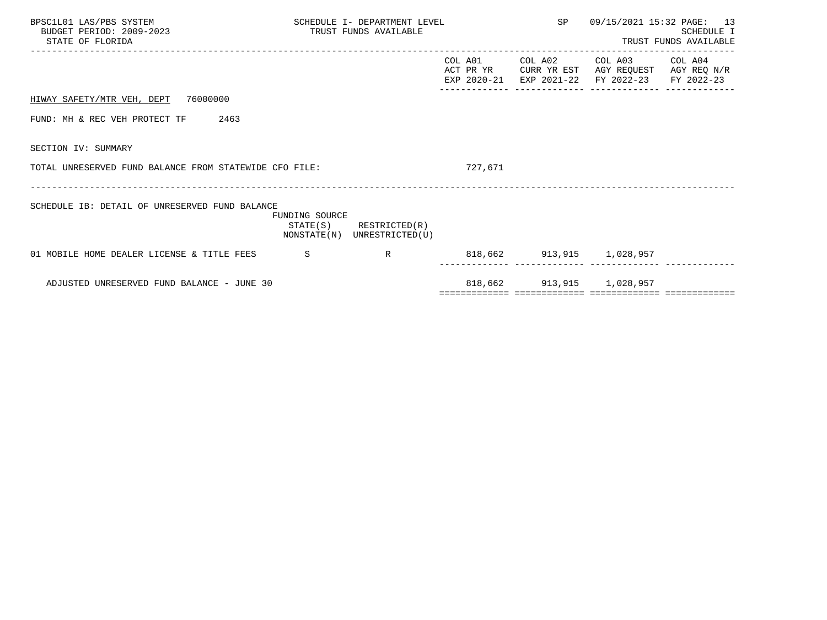| BPSC1L01 LAS/PBS SYSTEM<br>BUDGET PERIOD: 2009-2023<br>STATE OF FLORIDA | SCHEDULE I- DEPARTMENT LEVEL<br>TRUST FUNDS AVAILABLE |                                                            | SP 09/15/2021 15:32 PAGE: 13 | SCHEDULE I<br>TRUST FUNDS AVAILABLE                                                                                       |  |
|-------------------------------------------------------------------------|-------------------------------------------------------|------------------------------------------------------------|------------------------------|---------------------------------------------------------------------------------------------------------------------------|--|
|                                                                         |                                                       |                                                            | COL A01                      | COL A02 COL A03 COL A04<br>ACT PR YR CURR YR EST AGY REQUEST AGY REQ N/R<br>EXP 2020-21 EXP 2021-22 FY 2022-23 FY 2022-23 |  |
| HIWAY SAFETY/MTR VEH, DEPT 76000000                                     |                                                       |                                                            |                              |                                                                                                                           |  |
| 2463<br>FUND: MH & REC VEH PROTECT TF                                   |                                                       |                                                            |                              |                                                                                                                           |  |
| SECTION IV: SUMMARY                                                     |                                                       |                                                            |                              |                                                                                                                           |  |
| TOTAL UNRESERVED FUND BALANCE FROM STATEWIDE CFO FILE:                  |                                                       |                                                            | 727,671                      |                                                                                                                           |  |
| SCHEDULE IB: DETAIL OF UNRESERVED FUND BALANCE                          | FUNDING SOURCE                                        | $STATE(S)$ RESTRICTED $(R)$<br>NONSTATE(N) UNRESTRICTED(U) |                              |                                                                                                                           |  |
| 01 MOBILE HOME DEALER LICENSE & TITLE FEES S                            |                                                       | R                                                          | 818,662 913,915 1,028,957    |                                                                                                                           |  |
| ADJUSTED UNRESERVED FUND BALANCE - JUNE 30                              |                                                       |                                                            |                              | 818,662 913,915 1,028,957                                                                                                 |  |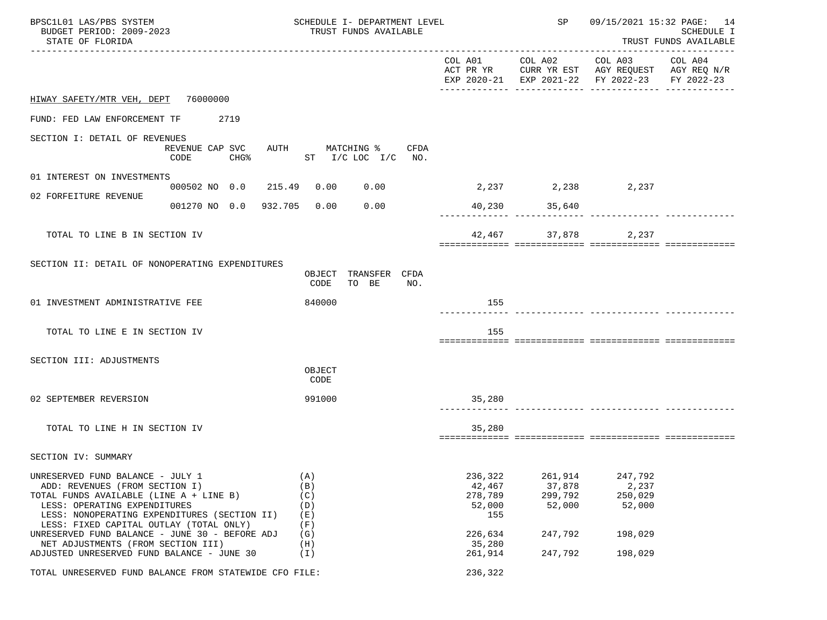| BPSC1L01 LAS/PBS SYSTEM<br>BUDGET PERIOD: 2009-2023<br>STATE OF FLORIDA                                                                                                                                                                  |                                             | SCHEDULE I- DEPARTMENT LEVEL<br>TRUST FUNDS AVAILABLE |                                                |                 |                                               | SP                                     | 09/15/2021 15:32 PAGE: 14<br>SCHEDULE I<br>TRUST FUNDS AVAILABLE                                                                  |  |
|------------------------------------------------------------------------------------------------------------------------------------------------------------------------------------------------------------------------------------------|---------------------------------------------|-------------------------------------------------------|------------------------------------------------|-----------------|-----------------------------------------------|----------------------------------------|-----------------------------------------------------------------------------------------------------------------------------------|--|
|                                                                                                                                                                                                                                          |                                             |                                                       |                                                |                 |                                               |                                        | COL A01 COL A02 COL A03 COL A04<br>ACT PR YR CURR YR EST AGY REQUEST AGY REQ N/R<br>EXP 2020-21 EXP 2021-22 FY 2022-23 FY 2022-23 |  |
| HIWAY SAFETY/MTR VEH, DEPT 76000000                                                                                                                                                                                                      |                                             |                                                       |                                                |                 |                                               |                                        |                                                                                                                                   |  |
| FUND: FED LAW ENFORCEMENT TF 2719                                                                                                                                                                                                        |                                             |                                                       |                                                |                 |                                               |                                        |                                                                                                                                   |  |
| SECTION I: DETAIL OF REVENUES                                                                                                                                                                                                            | REVENUE CAP SVC<br>CODE<br>CHG <sup>8</sup> |                                                       | AUTH MATCHING % CFDA<br>ST $I/C$ LOC $I/C$ NO. |                 |                                               |                                        |                                                                                                                                   |  |
| 01 INTEREST ON INVESTMENTS                                                                                                                                                                                                               | 000502 NO 0.0 215.49 0.00 0.00              |                                                       |                                                |                 | 2, 237 2, 238 2, 237                          |                                        |                                                                                                                                   |  |
| 02 FORFEITURE REVENUE                                                                                                                                                                                                                    | 001270 NO 0.0 932.705 0.00                  |                                                       | 0.00                                           |                 |                                               | 40,230 35,640                          |                                                                                                                                   |  |
|                                                                                                                                                                                                                                          |                                             |                                                       |                                                |                 |                                               |                                        |                                                                                                                                   |  |
| TOTAL TO LINE B IN SECTION IV                                                                                                                                                                                                            |                                             |                                                       |                                                |                 |                                               |                                        | 42,467 37,878 2,237                                                                                                               |  |
| SECTION II: DETAIL OF NONOPERATING EXPENDITURES                                                                                                                                                                                          |                                             | CODE                                                  | OBJECT TRANSFER CFDA<br>TO BE                  | NO <sub>z</sub> |                                               |                                        |                                                                                                                                   |  |
| 01 INVESTMENT ADMINISTRATIVE FEE                                                                                                                                                                                                         |                                             | 840000                                                |                                                |                 | 155                                           |                                        |                                                                                                                                   |  |
| TOTAL TO LINE E IN SECTION IV                                                                                                                                                                                                            |                                             |                                                       |                                                |                 | 155                                           |                                        |                                                                                                                                   |  |
| SECTION III: ADJUSTMENTS                                                                                                                                                                                                                 |                                             | OBJECT<br>CODE                                        |                                                |                 |                                               |                                        |                                                                                                                                   |  |
| 02 SEPTEMBER REVERSION                                                                                                                                                                                                                   |                                             | 991000                                                |                                                |                 | 35,280                                        |                                        |                                                                                                                                   |  |
| TOTAL TO LINE H IN SECTION IV                                                                                                                                                                                                            |                                             |                                                       |                                                |                 | 35,280                                        |                                        |                                                                                                                                   |  |
| SECTION IV: SUMMARY                                                                                                                                                                                                                      |                                             |                                                       |                                                |                 |                                               |                                        |                                                                                                                                   |  |
| UNRESERVED FUND BALANCE - JULY 1<br>ADD: REVENUES (FROM SECTION I)<br>TOTAL FUNDS AVAILABLE (LINE A + LINE B)<br>LESS: OPERATING EXPENDITURES<br>LESS: NONOPERATING EXPENDITURES (SECTION II)<br>LESS: FIXED CAPITAL OUTLAY (TOTAL ONLY) |                                             | (A)<br>(B)<br>(C)<br>(D)<br>(E)<br>(F)                |                                                |                 | 236,322<br>42,467<br>278,789<br>52,000<br>155 | 261,914<br>37,878<br>299,792<br>52,000 | 247,792<br>2,237<br>250,029<br>52,000                                                                                             |  |
| UNRESERVED FUND BALANCE - JUNE 30 - BEFORE ADJ<br>NET ADJUSTMENTS (FROM SECTION III)<br>ADJUSTED UNRESERVED FUND BALANCE - JUNE 30                                                                                                       |                                             | (G)<br>(H)<br>(I)                                     |                                                |                 | 226,634<br>35,280<br>261,914                  | 247,792<br>247,792                     | 198,029<br>198,029                                                                                                                |  |
| TOTAL UNRESERVED FUND BALANCE FROM STATEWIDE CFO FILE:                                                                                                                                                                                   |                                             |                                                       |                                                |                 | 236,322                                       |                                        |                                                                                                                                   |  |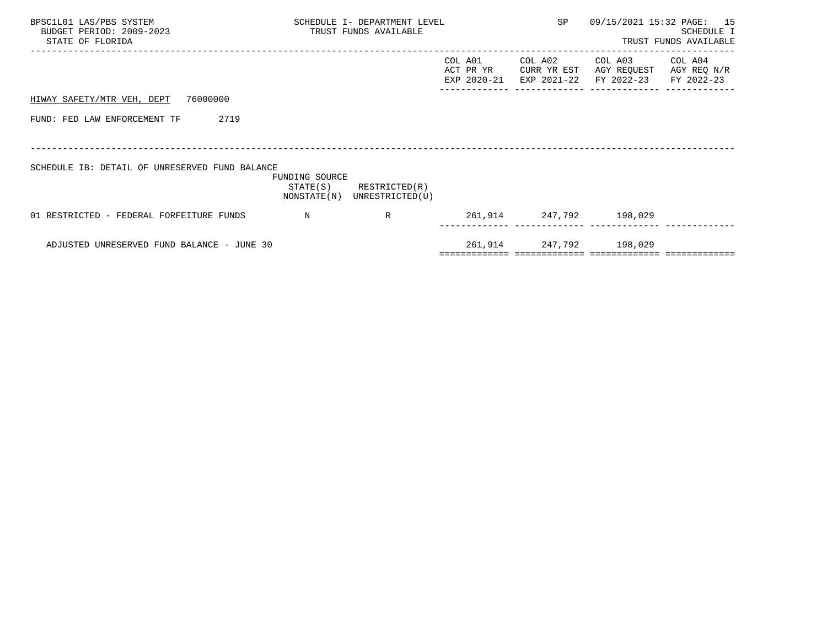| BPSC1L01 LAS/PBS SYSTEM<br>BUDGET PERIOD: 2009-2023<br>STATE OF FLORIDA | SCHEDULE I- DEPARTMENT LEVEL<br>TRUST FUNDS AVAILABLE |                                              |                                     | SP                                    |                                      | 09/15/2021 15:32 PAGE: 15<br>SCHEDULE I<br>TRUST FUNDS AVAILABLE |
|-------------------------------------------------------------------------|-------------------------------------------------------|----------------------------------------------|-------------------------------------|---------------------------------------|--------------------------------------|------------------------------------------------------------------|
|                                                                         |                                                       |                                              | COL A01<br>ACT PR YR<br>EXP 2020-21 | COL A02<br>CURR YR EST<br>EXP 2021-22 | COL A03<br>AGY REQUEST<br>FY 2022-23 | COL A04<br>AGY REQ N/R<br>FY 2022-23                             |
| HIWAY SAFETY/MTR VEH, DEPT 76000000                                     |                                                       |                                              |                                     |                                       |                                      |                                                                  |
| FUND: FED LAW ENFORCEMENT TF<br>2719                                    |                                                       |                                              |                                     |                                       |                                      |                                                                  |
|                                                                         |                                                       |                                              |                                     |                                       |                                      |                                                                  |
| SCHEDULE IB: DETAIL OF UNRESERVED FUND BALANCE                          | FUNDING SOURCE<br>STATE(S)                            | RESTRICTED(R)<br>NONSTATE(N) UNRESTRICTED(U) |                                     |                                       |                                      |                                                                  |
| 01 RESTRICTED - FEDERAL FORFEITURE FUNDS                                | $\mathbb N$                                           | R                                            |                                     | 261,914 247,792 198,029               |                                      |                                                                  |
| ADJUSTED UNRESERVED FUND BALANCE - JUNE 30                              |                                                       |                                              |                                     | 261,914 247,792 198,029               |                                      |                                                                  |